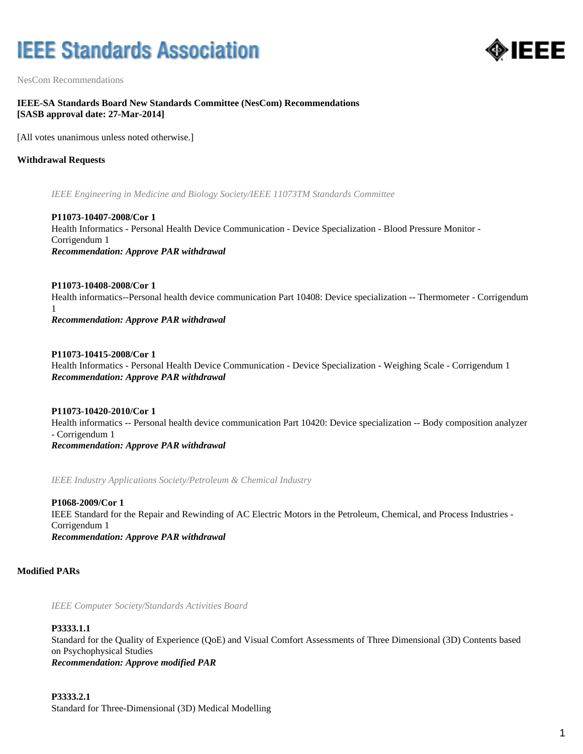# **IEEE Standards Association**



NesCom Recommendations

# **IEEE-SA Standards Board New Standards Committee (NesCom) Recommendations [SASB approval date: 27-Mar-2014]**

[All votes unanimous unless noted otherwise.]

# **Withdrawal Requests**

*IEEE Engineering in Medicine and Biology Society/IEEE 11073TM Standards Committee*

**P11073-10407-2008/Cor 1** Health Informatics - Personal Health Device Communication - Device Specialization - Blood Pressure Monitor - Corrigendum 1 *Recommendation: Approve PAR withdrawal*

**P11073-10408-2008/Cor 1** Health informatics--Personal health device communication Part 10408: Device specialization -- Thermometer - Corrigendum 1

*Recommendation: Approve PAR withdrawal*

**P11073-10415-2008/Cor 1** Health Informatics - Personal Health Device Communication - Device Specialization - Weighing Scale - Corrigendum 1 *Recommendation: Approve PAR withdrawal*

**P11073-10420-2010/Cor 1** Health informatics -- Personal health device communication Part 10420: Device specialization -- Body composition analyzer - Corrigendum 1 *Recommendation: Approve PAR withdrawal*

*IEEE Industry Applications Society/Petroleum & Chemical Industry*

**P1068-2009/Cor 1** IEEE Standard for the Repair and Rewinding of AC Electric Motors in the Petroleum, Chemical, and Process Industries - Corrigendum 1 *Recommendation: Approve PAR withdrawal*

## **Modified PARs**

*IEEE Computer Society/Standards Activities Board*

#### **P3333.1.1**

Standard for the Quality of Experience (QoE) and Visual Comfort Assessments of Three Dimensional (3D) Contents based on Psychophysical Studies *Recommendation: Approve modified PAR*

## **P3333.2.1**

Standard for Three-Dimensional (3D) Medical Modelling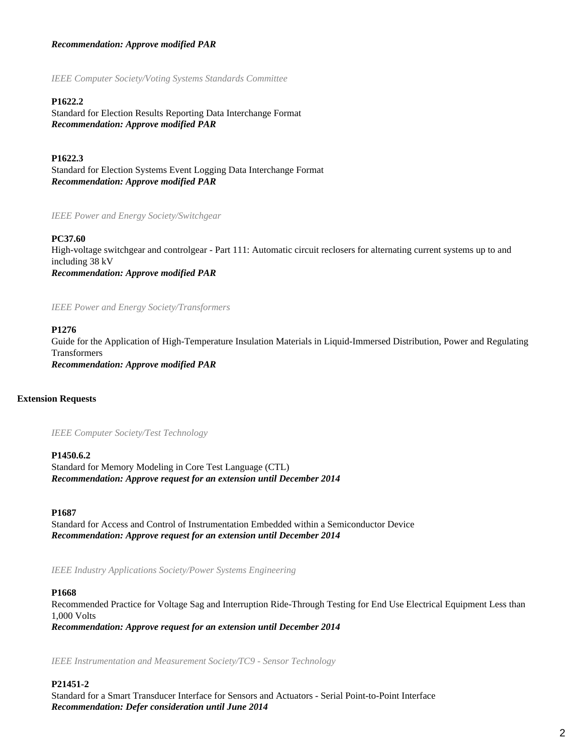# *Recommendation: Approve modified PAR*

*IEEE Computer Society/Voting Systems Standards Committee*

## **P1622.2**

Standard for Election Results Reporting Data Interchange Format *Recommendation: Approve modified PAR*

**P1622.3**

Standard for Election Systems Event Logging Data Interchange Format *Recommendation: Approve modified PAR*

*IEEE Power and Energy Society/Switchgear*

#### **PC37.60**

High-voltage switchgear and controlgear - Part 111: Automatic circuit reclosers for alternating current systems up to and including 38 kV *Recommendation: Approve modified PAR*

*IEEE Power and Energy Society/Transformers*

#### **P1276**

Guide for the Application of High-Temperature Insulation Materials in Liquid-Immersed Distribution, Power and Regulating Transformers *Recommendation: Approve modified PAR*

## **Extension Requests**

*IEEE Computer Society/Test Technology*

#### **P1450.6.2**

Standard for Memory Modeling in Core Test Language (CTL) *Recommendation: Approve request for an extension until December 2014*

#### **P1687**

Standard for Access and Control of Instrumentation Embedded within a Semiconductor Device *Recommendation: Approve request for an extension until December 2014*

*IEEE Industry Applications Society/Power Systems Engineering*

#### **P1668**

Recommended Practice for Voltage Sag and Interruption Ride-Through Testing for End Use Electrical Equipment Less than 1,000 Volts

*Recommendation: Approve request for an extension until December 2014*

*IEEE Instrumentation and Measurement Society/TC9 - Sensor Technology*

# **P21451-2**

Standard for a Smart Transducer Interface for Sensors and Actuators - Serial Point-to-Point Interface *Recommendation: Defer consideration until June 2014*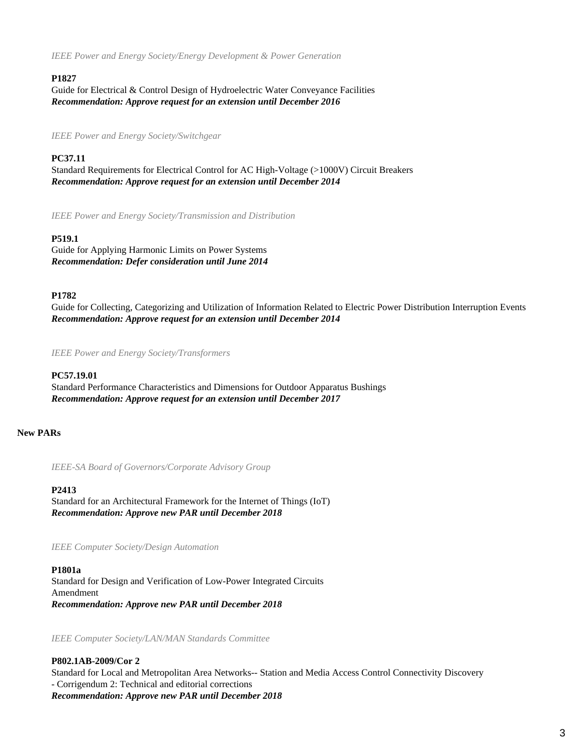*IEEE Power and Energy Society/Energy Development & Power Generation*

# **P1827**

Guide for Electrical & Control Design of Hydroelectric Water Conveyance Facilities *Recommendation: Approve request for an extension until December 2016*

*IEEE Power and Energy Society/Switchgear*

# **PC37.11**

Standard Requirements for Electrical Control for AC High-Voltage (>1000V) Circuit Breakers *Recommendation: Approve request for an extension until December 2014*

*IEEE Power and Energy Society/Transmission and Distribution*

## **P519.1**

Guide for Applying Harmonic Limits on Power Systems *Recommendation: Defer consideration until June 2014*

## **P1782**

Guide for Collecting, Categorizing and Utilization of Information Related to Electric Power Distribution Interruption Events *Recommendation: Approve request for an extension until December 2014*

*IEEE Power and Energy Society/Transformers*

## **PC57.19.01**

Standard Performance Characteristics and Dimensions for Outdoor Apparatus Bushings *Recommendation: Approve request for an extension until December 2017*

# **New PARs**

*IEEE-SA Board of Governors/Corporate Advisory Group*

#### **P2413**

Standard for an Architectural Framework for the Internet of Things (IoT) *Recommendation: Approve new PAR until December 2018*

*IEEE Computer Society/Design Automation*

## **P1801a**

Standard for Design and Verification of Low-Power Integrated Circuits Amendment *Recommendation: Approve new PAR until December 2018*

*IEEE Computer Society/LAN/MAN Standards Committee*

**P802.1AB-2009/Cor 2** Standard for Local and Metropolitan Area Networks-- Station and Media Access Control Connectivity Discovery - Corrigendum 2: Technical and editorial corrections *Recommendation: Approve new PAR until December 2018*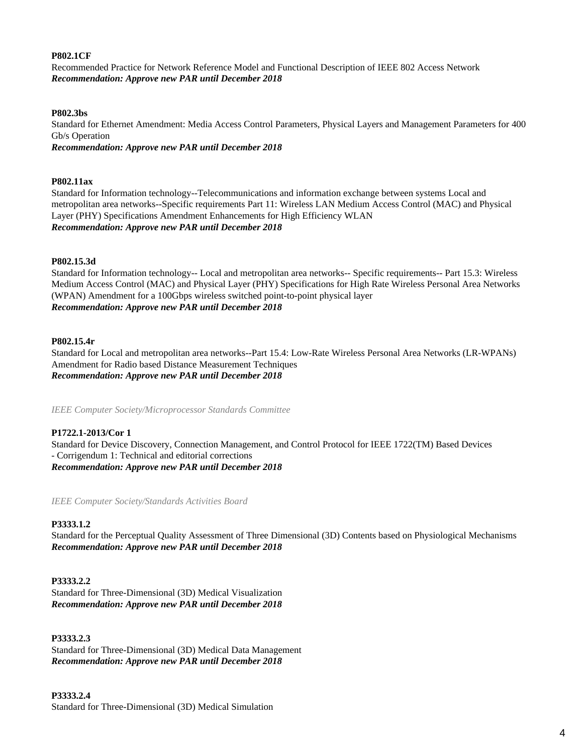## **P802.1CF**

Recommended Practice for Network Reference Model and Functional Description of IEEE 802 Access Network *Recommendation: Approve new PAR until December 2018*

## **P802.3bs**

Standard for Ethernet Amendment: Media Access Control Parameters, Physical Layers and Management Parameters for 400 Gb/s Operation

*Recommendation: Approve new PAR until December 2018*

# **P802.11ax**

Standard for Information technology--Telecommunications and information exchange between systems Local and metropolitan area networks--Specific requirements Part 11: Wireless LAN Medium Access Control (MAC) and Physical Layer (PHY) Specifications Amendment Enhancements for High Efficiency WLAN *Recommendation: Approve new PAR until December 2018*

## **P802.15.3d**

Standard for Information technology-- Local and metropolitan area networks-- Specific requirements-- Part 15.3: Wireless Medium Access Control (MAC) and Physical Layer (PHY) Specifications for High Rate Wireless Personal Area Networks (WPAN) Amendment for a 100Gbps wireless switched point-to-point physical layer *Recommendation: Approve new PAR until December 2018*

## **P802.15.4r**

Standard for Local and metropolitan area networks--Part 15.4: Low-Rate Wireless Personal Area Networks (LR-WPANs) Amendment for Radio based Distance Measurement Techniques *Recommendation: Approve new PAR until December 2018*

*IEEE Computer Society/Microprocessor Standards Committee*

# **P1722.1-2013/Cor 1**

Standard for Device Discovery, Connection Management, and Control Protocol for IEEE 1722(TM) Based Devices - Corrigendum 1: Technical and editorial corrections *Recommendation: Approve new PAR until December 2018*

*IEEE Computer Society/Standards Activities Board*

# **P3333.1.2**

Standard for the Perceptual Quality Assessment of Three Dimensional (3D) Contents based on Physiological Mechanisms *Recommendation: Approve new PAR until December 2018*

# **P3333.2.2**

Standard for Three-Dimensional (3D) Medical Visualization *Recommendation: Approve new PAR until December 2018*

## **P3333.2.3**

Standard for Three-Dimensional (3D) Medical Data Management *Recommendation: Approve new PAR until December 2018*

#### **P3333.2.4**

Standard for Three-Dimensional (3D) Medical Simulation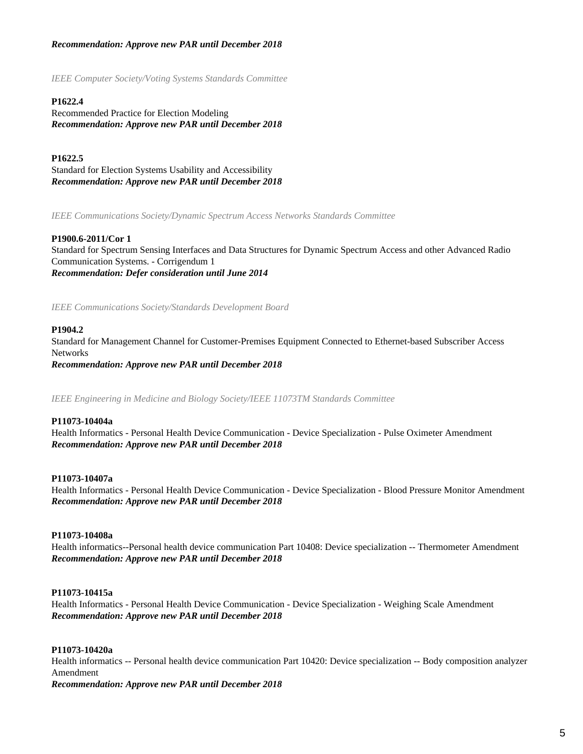# *Recommendation: Approve new PAR until December 2018*

*IEEE Computer Society/Voting Systems Standards Committee*

## **P1622.4**

Recommended Practice for Election Modeling *Recommendation: Approve new PAR until December 2018*

# **P1622.5**

Standard for Election Systems Usability and Accessibility *Recommendation: Approve new PAR until December 2018*

*IEEE Communications Society/Dynamic Spectrum Access Networks Standards Committee*

#### **P1900.6-2011/Cor 1**

Standard for Spectrum Sensing Interfaces and Data Structures for Dynamic Spectrum Access and other Advanced Radio Communication Systems. - Corrigendum 1 *Recommendation: Defer consideration until June 2014*

*IEEE Communications Society/Standards Development Board*

## **P1904.2**

Standard for Management Channel for Customer-Premises Equipment Connected to Ethernet-based Subscriber Access Networks *Recommendation: Approve new PAR until December 2018*

*IEEE Engineering in Medicine and Biology Society/IEEE 11073TM Standards Committee*

#### **P11073-10404a**

Health Informatics - Personal Health Device Communication - Device Specialization - Pulse Oximeter Amendment *Recommendation: Approve new PAR until December 2018*

#### **P11073-10407a**

Health Informatics - Personal Health Device Communication - Device Specialization - Blood Pressure Monitor Amendment *Recommendation: Approve new PAR until December 2018*

#### **P11073-10408a**

Health informatics--Personal health device communication Part 10408: Device specialization -- Thermometer Amendment *Recommendation: Approve new PAR until December 2018*

#### **P11073-10415a**

Health Informatics - Personal Health Device Communication - Device Specialization - Weighing Scale Amendment *Recommendation: Approve new PAR until December 2018*

# **P11073-10420a**

Health informatics -- Personal health device communication Part 10420: Device specialization -- Body composition analyzer Amendment

*Recommendation: Approve new PAR until December 2018*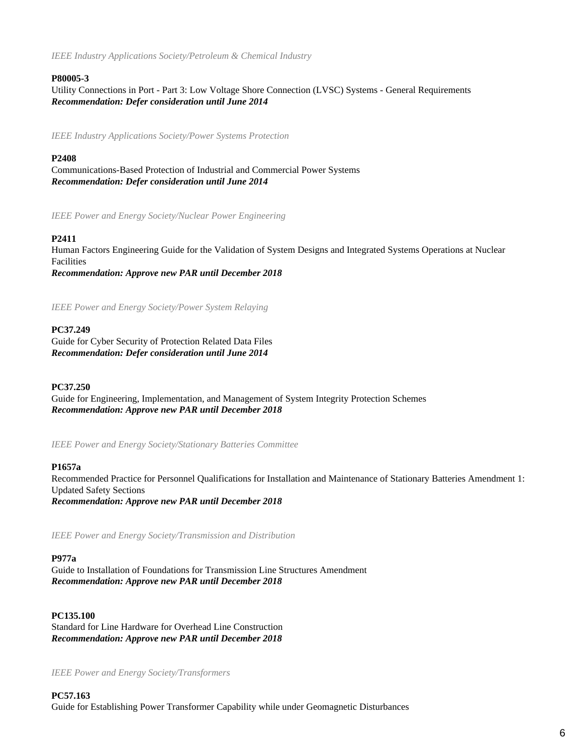*IEEE Industry Applications Society/Petroleum & Chemical Industry*

# **P80005-3**

Utility Connections in Port - Part 3: Low Voltage Shore Connection (LVSC) Systems - General Requirements *Recommendation: Defer consideration until June 2014*

*IEEE Industry Applications Society/Power Systems Protection*

# **P2408**

Communications-Based Protection of Industrial and Commercial Power Systems *Recommendation: Defer consideration until June 2014*

*IEEE Power and Energy Society/Nuclear Power Engineering*

# **P2411**

Human Factors Engineering Guide for the Validation of System Designs and Integrated Systems Operations at Nuclear Facilities

*Recommendation: Approve new PAR until December 2018*

*IEEE Power and Energy Society/Power System Relaying*

# **PC37.249**

Guide for Cyber Security of Protection Related Data Files *Recommendation: Defer consideration until June 2014*

# **PC37.250**

Guide for Engineering, Implementation, and Management of System Integrity Protection Schemes *Recommendation: Approve new PAR until December 2018*

*IEEE Power and Energy Society/Stationary Batteries Committee*

## **P1657a**

Recommended Practice for Personnel Qualifications for Installation and Maintenance of Stationary Batteries Amendment 1: Updated Safety Sections *Recommendation: Approve new PAR until December 2018*

*IEEE Power and Energy Society/Transmission and Distribution*

#### **P977a**

Guide to Installation of Foundations for Transmission Line Structures Amendment *Recommendation: Approve new PAR until December 2018*

**PC135.100** Standard for Line Hardware for Overhead Line Construction *Recommendation: Approve new PAR until December 2018*

*IEEE Power and Energy Society/Transformers*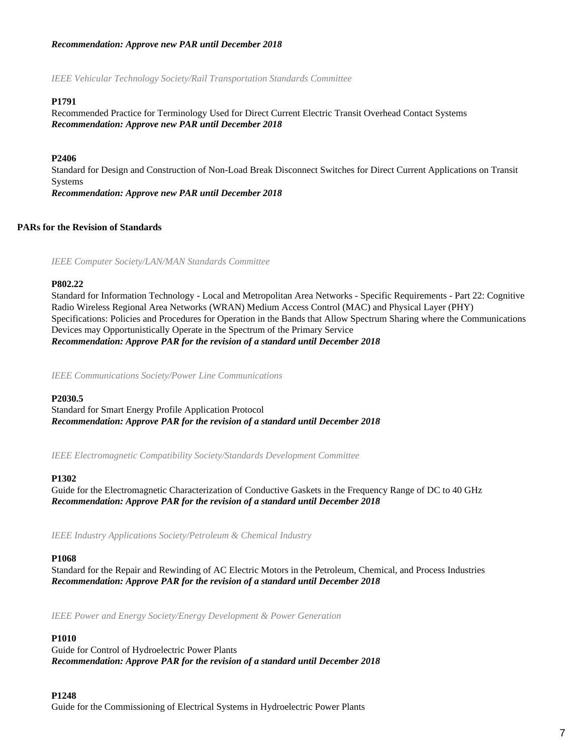# *Recommendation: Approve new PAR until December 2018*

*IEEE Vehicular Technology Society/Rail Transportation Standards Committee*

# **P1791**

Recommended Practice for Terminology Used for Direct Current Electric Transit Overhead Contact Systems *Recommendation: Approve new PAR until December 2018*

# **P2406**

Standard for Design and Construction of Non-Load Break Disconnect Switches for Direct Current Applications on Transit Systems *Recommendation: Approve new PAR until December 2018*

# **PARs for the Revision of Standards**

*IEEE Computer Society/LAN/MAN Standards Committee*

## **P802.22**

Standard for Information Technology - Local and Metropolitan Area Networks - Specific Requirements - Part 22: Cognitive Radio Wireless Regional Area Networks (WRAN) Medium Access Control (MAC) and Physical Layer (PHY) Specifications: Policies and Procedures for Operation in the Bands that Allow Spectrum Sharing where the Communications Devices may Opportunistically Operate in the Spectrum of the Primary Service *Recommendation: Approve PAR for the revision of a standard until December 2018*

*IEEE Communications Society/Power Line Communications*

#### **P2030.5**

Standard for Smart Energy Profile Application Protocol *Recommendation: Approve PAR for the revision of a standard until December 2018*

*IEEE Electromagnetic Compatibility Society/Standards Development Committee*

#### **P1302**

Guide for the Electromagnetic Characterization of Conductive Gaskets in the Frequency Range of DC to 40 GHz *Recommendation: Approve PAR for the revision of a standard until December 2018*

*IEEE Industry Applications Society/Petroleum & Chemical Industry*

#### **P1068**

Standard for the Repair and Rewinding of AC Electric Motors in the Petroleum, Chemical, and Process Industries *Recommendation: Approve PAR for the revision of a standard until December 2018*

*IEEE Power and Energy Society/Energy Development & Power Generation*

# **P1010**

Guide for Control of Hydroelectric Power Plants *Recommendation: Approve PAR for the revision of a standard until December 2018*

#### **P1248**

Guide for the Commissioning of Electrical Systems in Hydroelectric Power Plants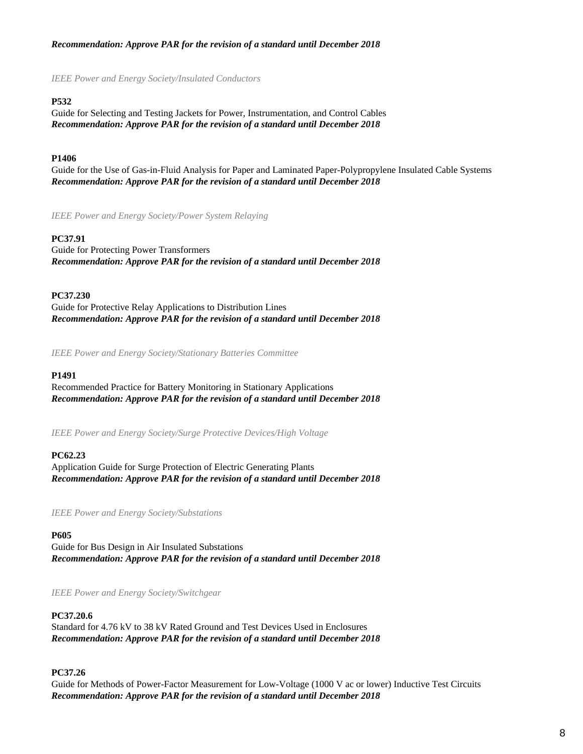# *Recommendation: Approve PAR for the revision of a standard until December 2018*

*IEEE Power and Energy Society/Insulated Conductors*

# **P532**

Guide for Selecting and Testing Jackets for Power, Instrumentation, and Control Cables *Recommendation: Approve PAR for the revision of a standard until December 2018*

# **P1406**

Guide for the Use of Gas-in-Fluid Analysis for Paper and Laminated Paper-Polypropylene Insulated Cable Systems *Recommendation: Approve PAR for the revision of a standard until December 2018*

*IEEE Power and Energy Society/Power System Relaying*

## **PC37.91**

Guide for Protecting Power Transformers *Recommendation: Approve PAR for the revision of a standard until December 2018*

## **PC37.230**

Guide for Protective Relay Applications to Distribution Lines *Recommendation: Approve PAR for the revision of a standard until December 2018*

*IEEE Power and Energy Society/Stationary Batteries Committee*

#### **P1491**

Recommended Practice for Battery Monitoring in Stationary Applications *Recommendation: Approve PAR for the revision of a standard until December 2018*

*IEEE Power and Energy Society/Surge Protective Devices/High Voltage*

# **PC62.23**

Application Guide for Surge Protection of Electric Generating Plants *Recommendation: Approve PAR for the revision of a standard until December 2018*

*IEEE Power and Energy Society/Substations*

**P605**

Guide for Bus Design in Air Insulated Substations *Recommendation: Approve PAR for the revision of a standard until December 2018*

*IEEE Power and Energy Society/Switchgear*

## **PC37.20.6**

Standard for 4.76 kV to 38 kV Rated Ground and Test Devices Used in Enclosures *Recommendation: Approve PAR for the revision of a standard until December 2018*

# **PC37.26**

Guide for Methods of Power-Factor Measurement for Low-Voltage (1000 V ac or lower) Inductive Test Circuits *Recommendation: Approve PAR for the revision of a standard until December 2018*